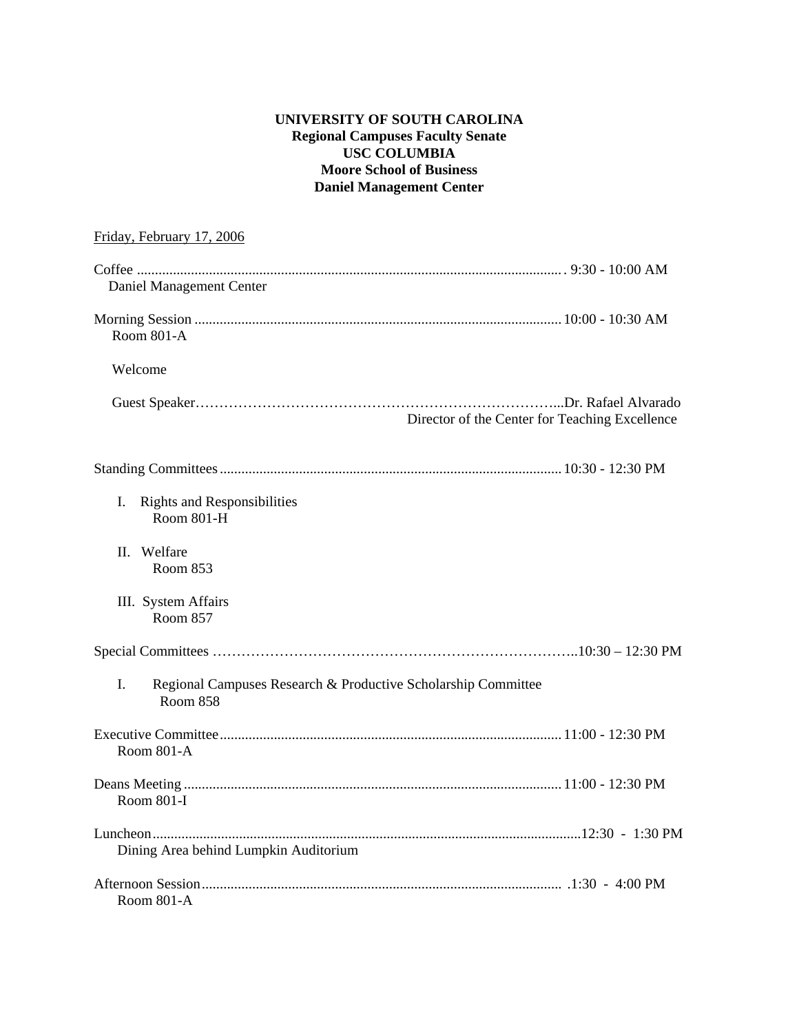## **UNIVERSITY OF SOUTH CAROLINA Regional Campuses Faculty Senate USC COLUMBIA Moore School of Business Daniel Management Center**

| Friday, February 17, 2006                                                              |
|----------------------------------------------------------------------------------------|
|                                                                                        |
| Daniel Management Center                                                               |
| Room 801-A                                                                             |
| Welcome                                                                                |
| Director of the Center for Teaching Excellence                                         |
|                                                                                        |
| <b>Rights and Responsibilities</b><br>Ι.<br>Room 801-H                                 |
| Welfare<br>H.<br>Room 853                                                              |
| III. System Affairs<br><b>Room 857</b>                                                 |
|                                                                                        |
| L.<br>Regional Campuses Research & Productive Scholarship Committee<br><b>Room 858</b> |
| Room 801-A                                                                             |
| Room 801-I                                                                             |
| Dining Area behind Lumpkin Auditorium                                                  |
| Room 801-A                                                                             |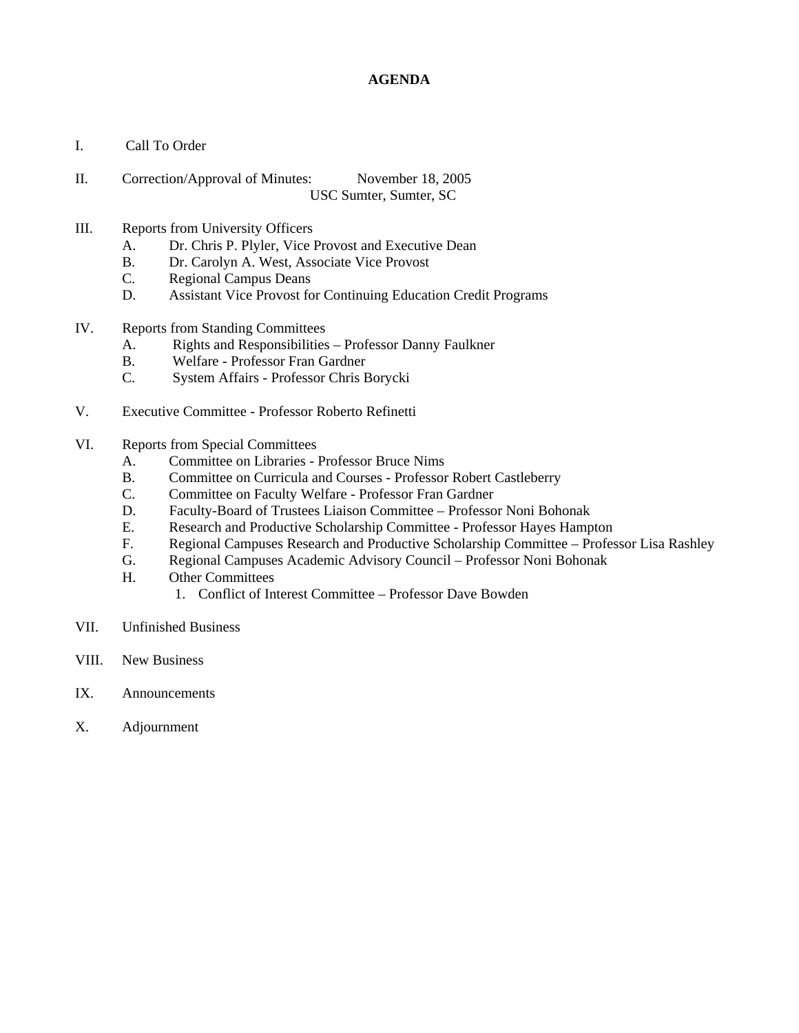## **AGENDA**

- I. Call To Order
- II. Correction/Approval of Minutes: November 18, 2005 USC Sumter, Sumter, SC
- III. Reports from University Officers
	- A. Dr. Chris P. Plyler, Vice Provost and Executive Dean
	- B. Dr. Carolyn A. West, Associate Vice Provost
	- C. Regional Campus Deans
	- D. Assistant Vice Provost for Continuing Education Credit Programs
- IV. Reports from Standing Committees
	- A. Rights and Responsibilities Professor Danny Faulkner
	- B. Welfare Professor Fran Gardner
	- C. System Affairs Professor Chris Borycki
- V. Executive Committee Professor Roberto Refinetti
- VI. Reports from Special Committees
	- A. Committee on Libraries Professor Bruce Nims
	- B. Committee on Curricula and Courses Professor Robert Castleberry
	- C. Committee on Faculty Welfare Professor Fran Gardner
	- D. Faculty-Board of Trustees Liaison Committee Professor Noni Bohonak
	- E. Research and Productive Scholarship Committee Professor Hayes Hampton
	- F. Regional Campuses Research and Productive Scholarship Committee Professor Lisa Rashley
	- G. Regional Campuses Academic Advisory Council Professor Noni Bohonak
	- H. Other Committees
		- 1. Conflict of Interest Committee Professor Dave Bowden
- VII. Unfinished Business
- VIII. New Business
- IX. Announcements
- X. Adjournment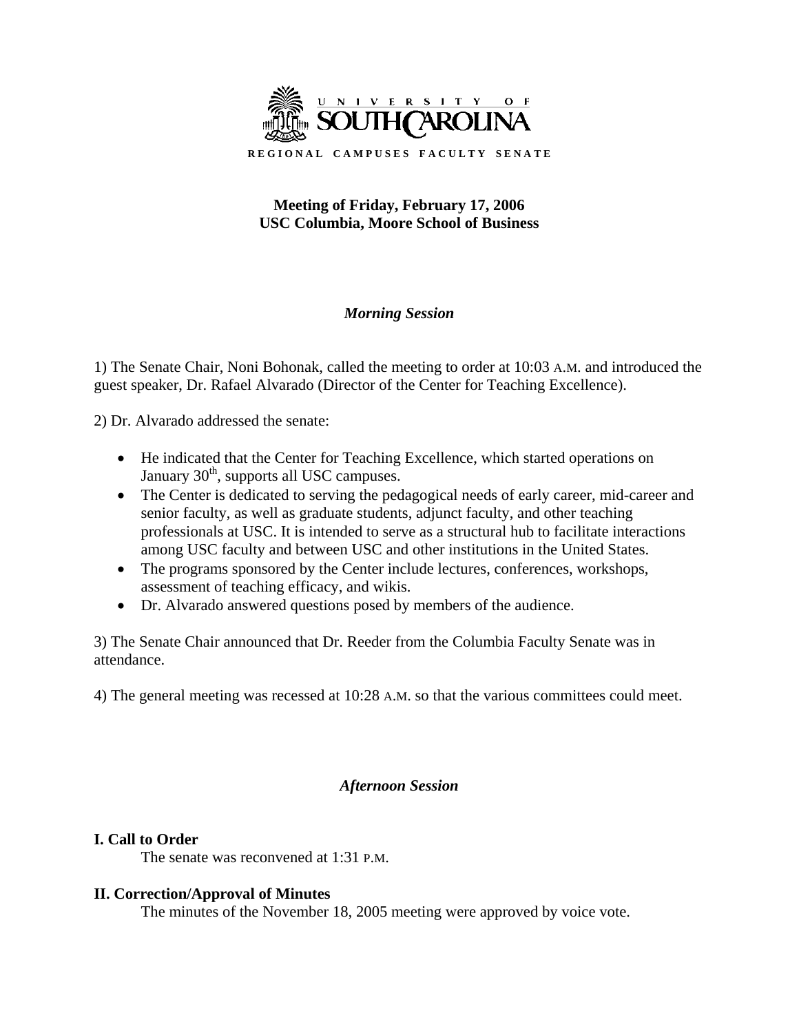

# **Meeting of Friday, February 17, 2006 USC Columbia, Moore School of Business**

# *Morning Session*

1) The Senate Chair, Noni Bohonak, called the meeting to order at 10:03 A.M. and introduced the guest speaker, Dr. Rafael Alvarado (Director of the Center for Teaching Excellence).

2) Dr. Alvarado addressed the senate:

- He indicated that the Center for Teaching Excellence, which started operations on January  $30<sup>th</sup>$ , supports all USC campuses.
- The Center is dedicated to serving the pedagogical needs of early career, mid-career and senior faculty, as well as graduate students, adjunct faculty, and other teaching professionals at USC. It is intended to serve as a structural hub to facilitate interactions among USC faculty and between USC and other institutions in the United States.
- The programs sponsored by the Center include lectures, conferences, workshops, assessment of teaching efficacy, and wikis.
- Dr. Alvarado answered questions posed by members of the audience.

3) The Senate Chair announced that Dr. Reeder from the Columbia Faculty Senate was in attendance.

4) The general meeting was recessed at 10:28 A.M. so that the various committees could meet.

# *Afternoon Session*

# **I. Call to Order**

The senate was reconvened at 1:31 P.M.

## **II. Correction/Approval of Minutes**

The minutes of the November 18, 2005 meeting were approved by voice vote.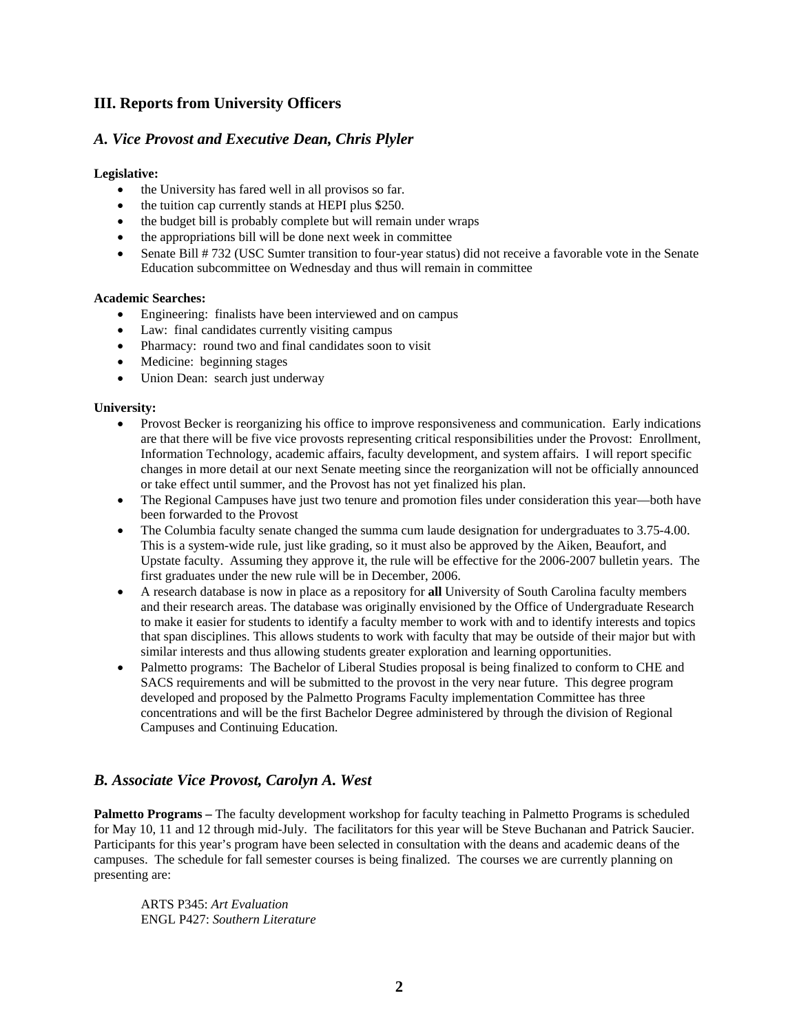## **III. Reports from University Officers**

## *A. Vice Provost and Executive Dean, Chris Plyler*

#### **Legislative:**

- the University has fared well in all provisos so far.
- the tuition cap currently stands at HEPI plus \$250.
- the budget bill is probably complete but will remain under wraps
- the appropriations bill will be done next week in committee
- Senate Bill # 732 (USC Sumter transition to four-year status) did not receive a favorable vote in the Senate Education subcommittee on Wednesday and thus will remain in committee

#### **Academic Searches:**

- Engineering: finalists have been interviewed and on campus
- Law: final candidates currently visiting campus
- Pharmacy: round two and final candidates soon to visit
- Medicine: beginning stages
- Union Dean: search just underway

#### **University:**

- Provost Becker is reorganizing his office to improve responsiveness and communication. Early indications are that there will be five vice provosts representing critical responsibilities under the Provost: Enrollment, Information Technology, academic affairs, faculty development, and system affairs. I will report specific changes in more detail at our next Senate meeting since the reorganization will not be officially announced or take effect until summer, and the Provost has not yet finalized his plan.
- The Regional Campuses have just two tenure and promotion files under consideration this year—both have been forwarded to the Provost
- The Columbia faculty senate changed the summa cum laude designation for undergraduates to 3.75-4.00. This is a system-wide rule, just like grading, so it must also be approved by the Aiken, Beaufort, and Upstate faculty. Assuming they approve it, the rule will be effective for the 2006-2007 bulletin years. The first graduates under the new rule will be in December, 2006.
- A research database is now in place as a repository for **all** University of South Carolina faculty members and their research areas. The database was originally envisioned by the Office of Undergraduate Research to make it easier for students to identify a faculty member to work with and to identify interests and topics that span disciplines. This allows students to work with faculty that may be outside of their major but with similar interests and thus allowing students greater exploration and learning opportunities.
- Palmetto programs: The Bachelor of Liberal Studies proposal is being finalized to conform to CHE and SACS requirements and will be submitted to the provost in the very near future. This degree program developed and proposed by the Palmetto Programs Faculty implementation Committee has three concentrations and will be the first Bachelor Degree administered by through the division of Regional Campuses and Continuing Education.

## *B. Associate Vice Provost, Carolyn A. West*

**Palmetto Programs** – The faculty development workshop for faculty teaching in Palmetto Programs is scheduled for May 10, 11 and 12 through mid-July. The facilitators for this year will be Steve Buchanan and Patrick Saucier. Participants for this year's program have been selected in consultation with the deans and academic deans of the campuses. The schedule for fall semester courses is being finalized. The courses we are currently planning on presenting are:

ARTS P345: *Art Evaluation*  ENGL P427: *Southern Literature*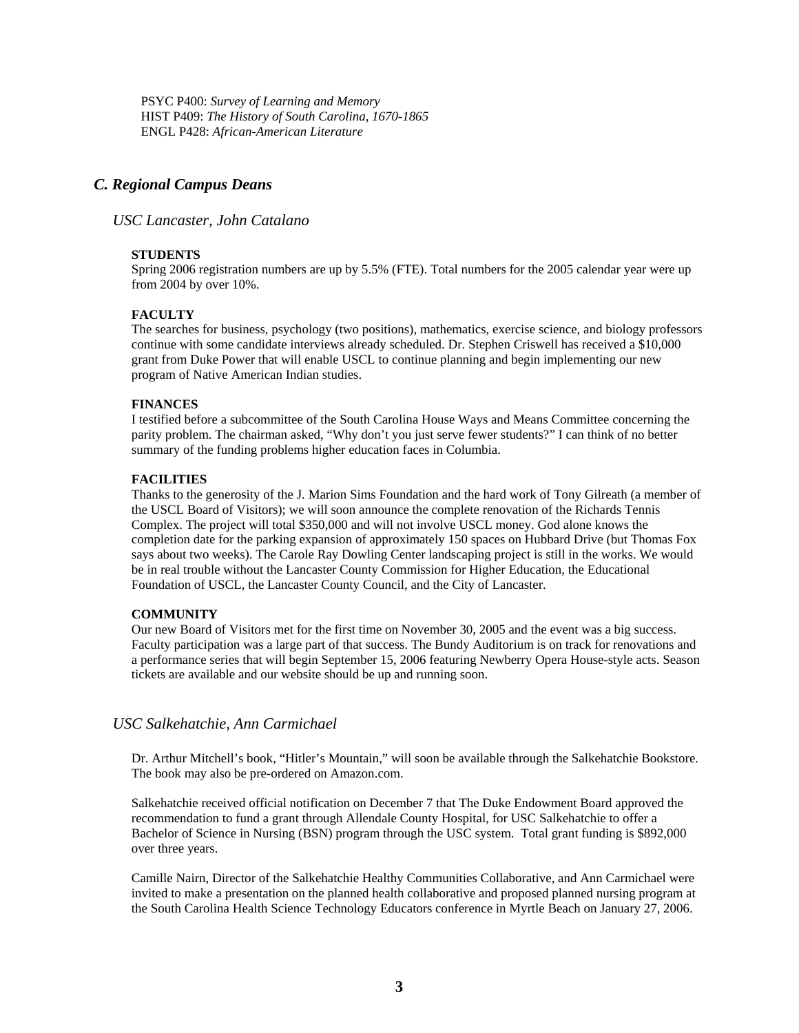PSYC P400: *Survey of Learning and Memory*  HIST P409: *The History of South Carolina, 1670-1865*  ENGL P428: *African-American Literature* 

### *C. Regional Campus Deans*

*USC Lancaster, John Catalano* 

#### **STUDENTS**

Spring 2006 registration numbers are up by 5.5% (FTE). Total numbers for the 2005 calendar year were up from 2004 by over 10%.

#### **FACULTY**

The searches for business, psychology (two positions), mathematics, exercise science, and biology professors continue with some candidate interviews already scheduled. Dr. Stephen Criswell has received a \$10,000 grant from Duke Power that will enable USCL to continue planning and begin implementing our new program of Native American Indian studies.

#### **FINANCES**

I testified before a subcommittee of the South Carolina House Ways and Means Committee concerning the parity problem. The chairman asked, "Why don't you just serve fewer students?" I can think of no better summary of the funding problems higher education faces in Columbia.

#### **FACILITIES**

Thanks to the generosity of the J. Marion Sims Foundation and the hard work of Tony Gilreath (a member of the USCL Board of Visitors); we will soon announce the complete renovation of the Richards Tennis Complex. The project will total \$350,000 and will not involve USCL money. God alone knows the completion date for the parking expansion of approximately 150 spaces on Hubbard Drive (but Thomas Fox says about two weeks). The Carole Ray Dowling Center landscaping project is still in the works. We would be in real trouble without the Lancaster County Commission for Higher Education, the Educational Foundation of USCL, the Lancaster County Council, and the City of Lancaster.

#### **COMMUNITY**

Our new Board of Visitors met for the first time on November 30, 2005 and the event was a big success. Faculty participation was a large part of that success. The Bundy Auditorium is on track for renovations and a performance series that will begin September 15, 2006 featuring Newberry Opera House-style acts. Season tickets are available and our website should be up and running soon.

#### *USC Salkehatchie, Ann Carmichael*

Dr. Arthur Mitchell's book, "Hitler's Mountain," will soon be available through the Salkehatchie Bookstore. The book may also be pre-ordered on Amazon.com.

Salkehatchie received official notification on December 7 that The Duke Endowment Board approved the recommendation to fund a grant through Allendale County Hospital, for USC Salkehatchie to offer a Bachelor of Science in Nursing (BSN) program through the USC system. Total grant funding is \$892,000 over three years.

Camille Nairn, Director of the Salkehatchie Healthy Communities Collaborative, and Ann Carmichael were invited to make a presentation on the planned health collaborative and proposed planned nursing program at the South Carolina Health Science Technology Educators conference in Myrtle Beach on January 27, 2006.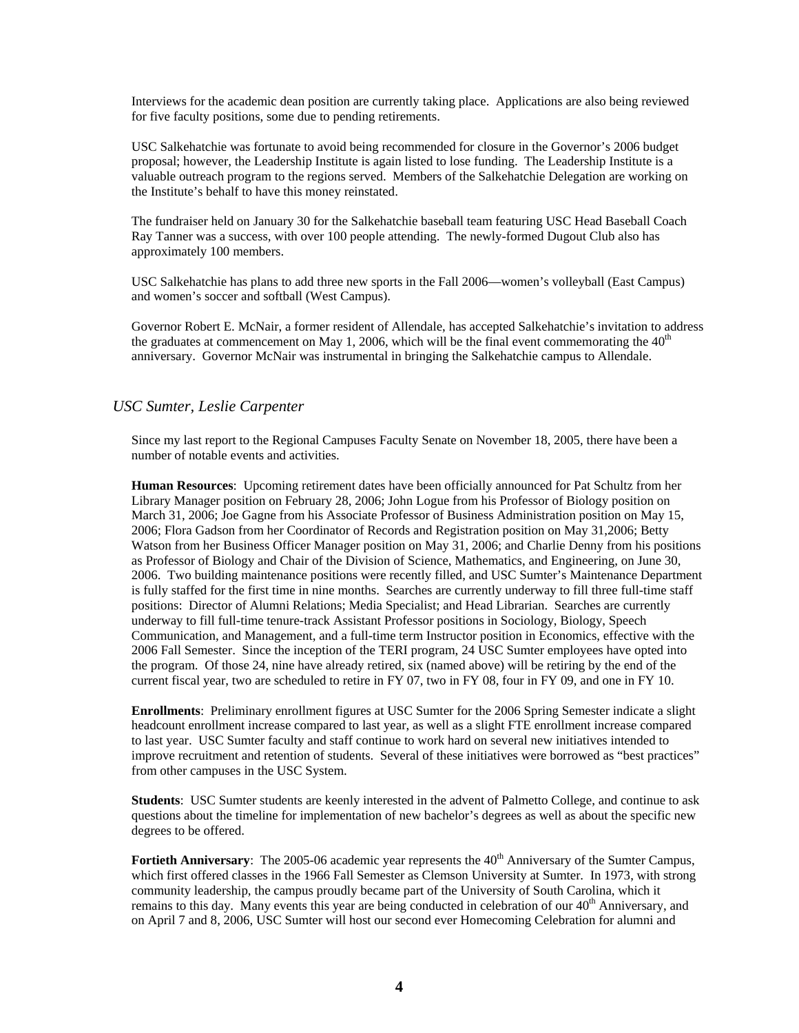Interviews for the academic dean position are currently taking place. Applications are also being reviewed for five faculty positions, some due to pending retirements.

USC Salkehatchie was fortunate to avoid being recommended for closure in the Governor's 2006 budget proposal; however, the Leadership Institute is again listed to lose funding. The Leadership Institute is a valuable outreach program to the regions served. Members of the Salkehatchie Delegation are working on the Institute's behalf to have this money reinstated.

The fundraiser held on January 30 for the Salkehatchie baseball team featuring USC Head Baseball Coach Ray Tanner was a success, with over 100 people attending. The newly-formed Dugout Club also has approximately 100 members.

USC Salkehatchie has plans to add three new sports in the Fall 2006—women's volleyball (East Campus) and women's soccer and softball (West Campus).

Governor Robert E. McNair, a former resident of Allendale, has accepted Salkehatchie's invitation to address the graduates at commencement on May 1, 2006, which will be the final event commemorating the  $40<sup>th</sup>$ anniversary. Governor McNair was instrumental in bringing the Salkehatchie campus to Allendale.

### *USC Sumter, Leslie Carpenter*

Since my last report to the Regional Campuses Faculty Senate on November 18, 2005, there have been a number of notable events and activities.

**Human Resources**: Upcoming retirement dates have been officially announced for Pat Schultz from her Library Manager position on February 28, 2006; John Logue from his Professor of Biology position on March 31, 2006; Joe Gagne from his Associate Professor of Business Administration position on May 15, 2006; Flora Gadson from her Coordinator of Records and Registration position on May 31,2006; Betty Watson from her Business Officer Manager position on May 31, 2006; and Charlie Denny from his positions as Professor of Biology and Chair of the Division of Science, Mathematics, and Engineering, on June 30, 2006. Two building maintenance positions were recently filled, and USC Sumter's Maintenance Department is fully staffed for the first time in nine months. Searches are currently underway to fill three full-time staff positions: Director of Alumni Relations; Media Specialist; and Head Librarian. Searches are currently underway to fill full-time tenure-track Assistant Professor positions in Sociology, Biology, Speech Communication, and Management, and a full-time term Instructor position in Economics, effective with the 2006 Fall Semester. Since the inception of the TERI program, 24 USC Sumter employees have opted into the program. Of those 24, nine have already retired, six (named above) will be retiring by the end of the current fiscal year, two are scheduled to retire in FY 07, two in FY 08, four in FY 09, and one in FY 10.

**Enrollments**: Preliminary enrollment figures at USC Sumter for the 2006 Spring Semester indicate a slight headcount enrollment increase compared to last year, as well as a slight FTE enrollment increase compared to last year. USC Sumter faculty and staff continue to work hard on several new initiatives intended to improve recruitment and retention of students. Several of these initiatives were borrowed as "best practices" from other campuses in the USC System.

**Students**: USC Sumter students are keenly interested in the advent of Palmetto College, and continue to ask questions about the timeline for implementation of new bachelor's degrees as well as about the specific new degrees to be offered.

**Fortieth Anniversary**: The 2005-06 academic year represents the 40<sup>th</sup> Anniversary of the Sumter Campus, which first offered classes in the 1966 Fall Semester as Clemson University at Sumter. In 1973, with strong community leadership, the campus proudly became part of the University of South Carolina, which it remains to this day. Many events this year are being conducted in celebration of our 40<sup>th</sup> Anniversary, and on April 7 and 8, 2006, USC Sumter will host our second ever Homecoming Celebration for alumni and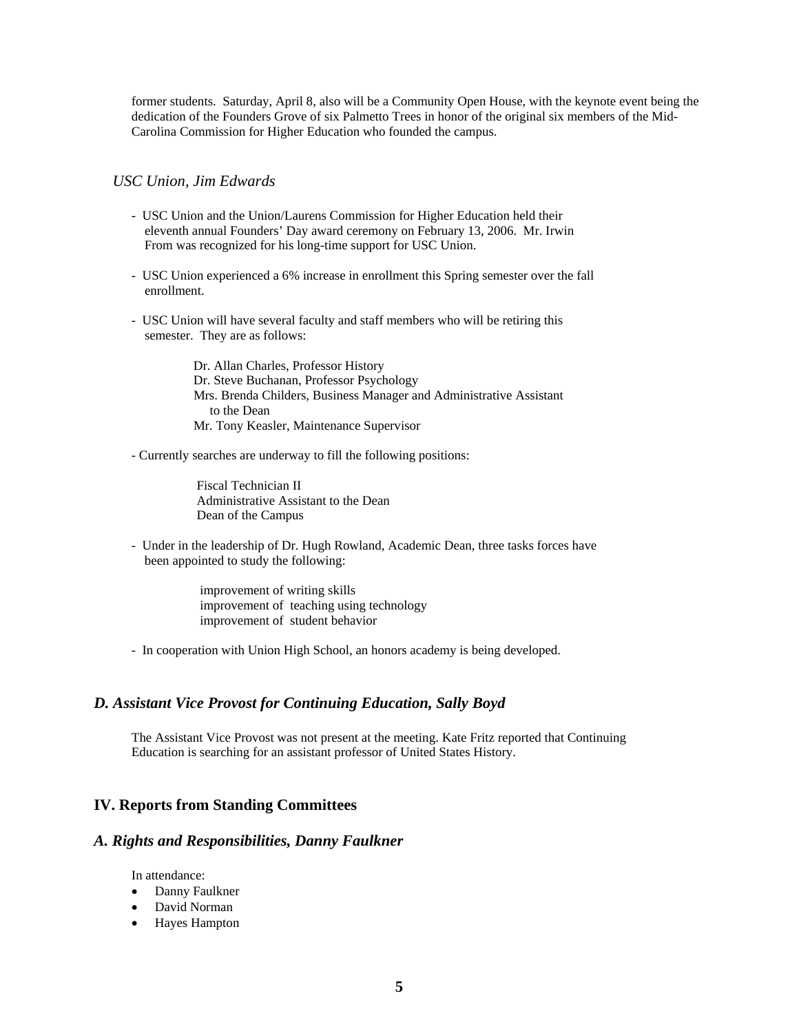former students. Saturday, April 8, also will be a Community Open House, with the keynote event being the dedication of the Founders Grove of six Palmetto Trees in honor of the original six members of the Mid-Carolina Commission for Higher Education who founded the campus.

#### *USC Union, Jim Edwards*

- USC Union and the Union/Laurens Commission for Higher Education held their eleventh annual Founders' Day award ceremony on February 13, 2006. Mr. Irwin From was recognized for his long-time support for USC Union.
- USC Union experienced a 6% increase in enrollment this Spring semester over the fall enrollment.
- USC Union will have several faculty and staff members who will be retiring this semester. They are as follows:

 Dr. Allan Charles, Professor History Dr. Steve Buchanan, Professor Psychology Mrs. Brenda Childers, Business Manager and Administrative Assistant to the Dean Mr. Tony Keasler, Maintenance Supervisor

- Currently searches are underway to fill the following positions:

 Fiscal Technician II Administrative Assistant to the Dean Dean of the Campus

- Under in the leadership of Dr. Hugh Rowland, Academic Dean, three tasks forces have been appointed to study the following:

> improvement of writing skills improvement of teaching using technology improvement of student behavior

- In cooperation with Union High School, an honors academy is being developed.

### *D. Assistant Vice Provost for Continuing Education, Sally Boyd*

The Assistant Vice Provost was not present at the meeting. Kate Fritz reported that Continuing Education is searching for an assistant professor of United States History.

### **IV. Reports from Standing Committees**

### *A. Rights and Responsibilities, Danny Faulkner*

In attendance:

- Danny Faulkner
- David Norman
- Hayes Hampton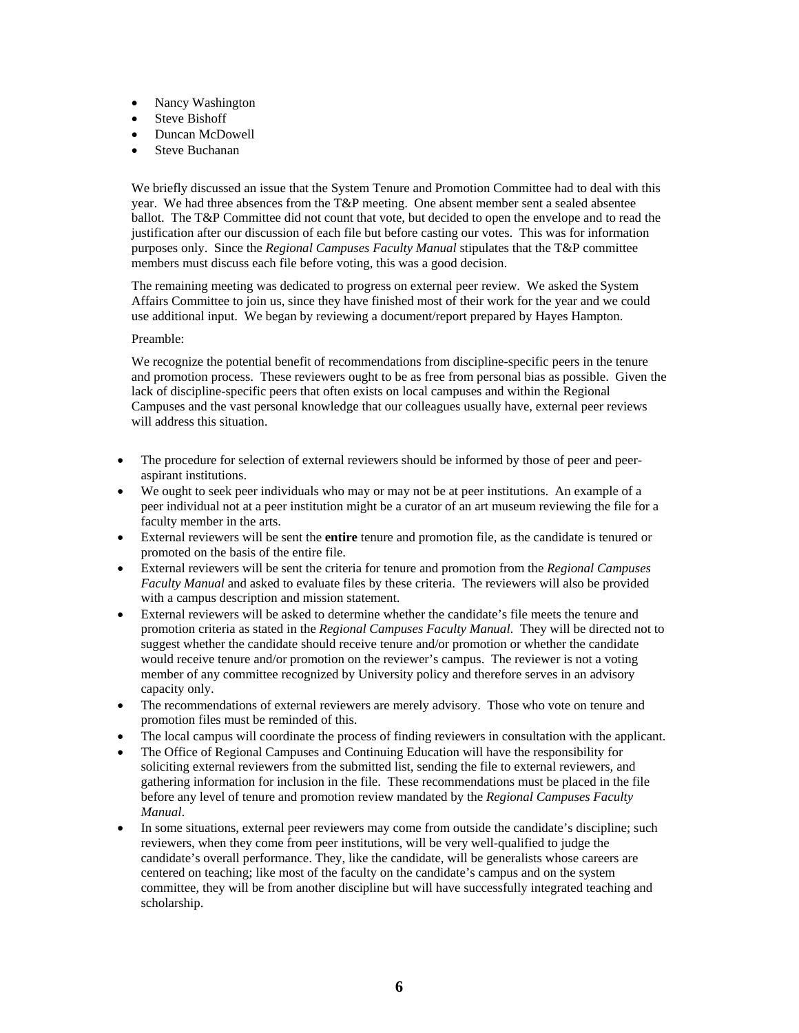- Nancy Washington
- Steve Bishoff
- Duncan McDowell
- Steve Buchanan

We briefly discussed an issue that the System Tenure and Promotion Committee had to deal with this year. We had three absences from the T&P meeting. One absent member sent a sealed absentee ballot. The T&P Committee did not count that vote, but decided to open the envelope and to read the justification after our discussion of each file but before casting our votes. This was for information purposes only. Since the *Regional Campuses Faculty Manual* stipulates that the T&P committee members must discuss each file before voting, this was a good decision.

The remaining meeting was dedicated to progress on external peer review. We asked the System Affairs Committee to join us, since they have finished most of their work for the year and we could use additional input. We began by reviewing a document/report prepared by Hayes Hampton.

#### Preamble:

We recognize the potential benefit of recommendations from discipline-specific peers in the tenure and promotion process. These reviewers ought to be as free from personal bias as possible. Given the lack of discipline-specific peers that often exists on local campuses and within the Regional Campuses and the vast personal knowledge that our colleagues usually have, external peer reviews will address this situation.

- The procedure for selection of external reviewers should be informed by those of peer and peeraspirant institutions.
- We ought to seek peer individuals who may or may not be at peer institutions. An example of a peer individual not at a peer institution might be a curator of an art museum reviewing the file for a faculty member in the arts.
- External reviewers will be sent the **entire** tenure and promotion file, as the candidate is tenured or promoted on the basis of the entire file.
- External reviewers will be sent the criteria for tenure and promotion from the *Regional Campuses Faculty Manual* and asked to evaluate files by these criteria. The reviewers will also be provided with a campus description and mission statement.
- External reviewers will be asked to determine whether the candidate's file meets the tenure and promotion criteria as stated in the *Regional Campuses Faculty Manual*. They will be directed not to suggest whether the candidate should receive tenure and/or promotion or whether the candidate would receive tenure and/or promotion on the reviewer's campus. The reviewer is not a voting member of any committee recognized by University policy and therefore serves in an advisory capacity only.
- The recommendations of external reviewers are merely advisory. Those who vote on tenure and promotion files must be reminded of this.
- The local campus will coordinate the process of finding reviewers in consultation with the applicant.
- The Office of Regional Campuses and Continuing Education will have the responsibility for soliciting external reviewers from the submitted list, sending the file to external reviewers, and gathering information for inclusion in the file. These recommendations must be placed in the file before any level of tenure and promotion review mandated by the *Regional Campuses Faculty Manual*.
- In some situations, external peer reviewers may come from outside the candidate's discipline; such reviewers, when they come from peer institutions, will be very well-qualified to judge the candidate's overall performance. They, like the candidate, will be generalists whose careers are centered on teaching; like most of the faculty on the candidate's campus and on the system committee, they will be from another discipline but will have successfully integrated teaching and scholarship.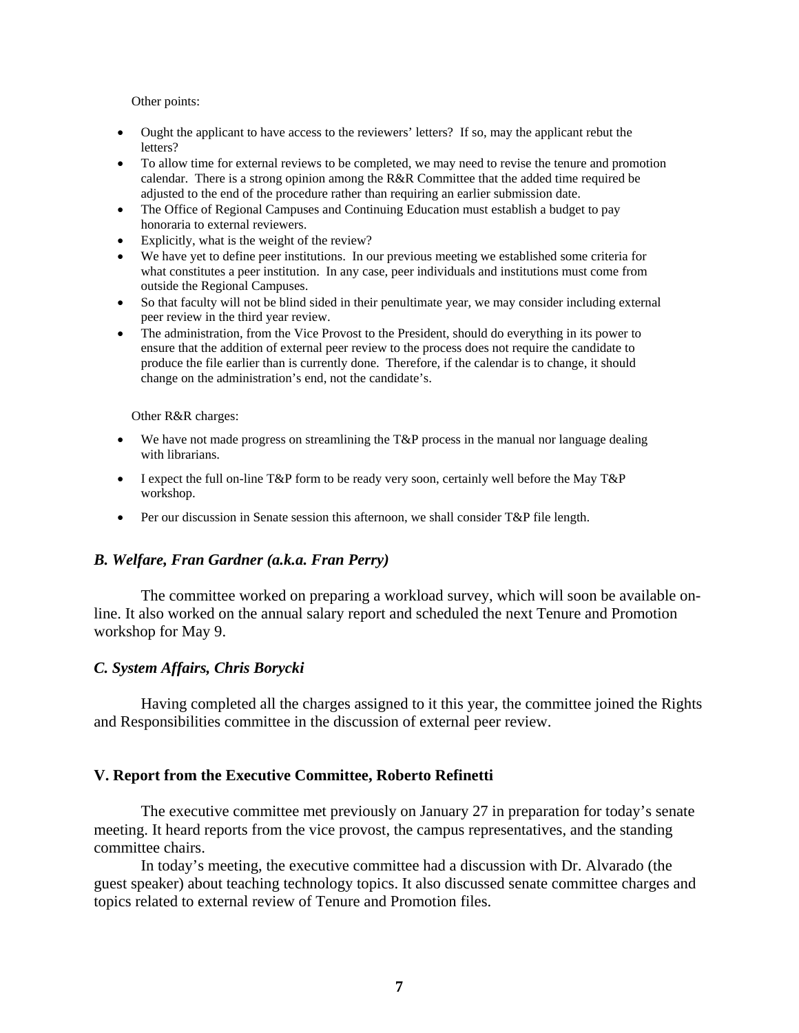Other points:

- Ought the applicant to have access to the reviewers' letters? If so, may the applicant rebut the letters?
- To allow time for external reviews to be completed, we may need to revise the tenure and promotion calendar. There is a strong opinion among the R&R Committee that the added time required be adjusted to the end of the procedure rather than requiring an earlier submission date.
- The Office of Regional Campuses and Continuing Education must establish a budget to pay honoraria to external reviewers.
- Explicitly, what is the weight of the review?
- We have yet to define peer institutions. In our previous meeting we established some criteria for what constitutes a peer institution. In any case, peer individuals and institutions must come from outside the Regional Campuses.
- So that faculty will not be blind sided in their penultimate year, we may consider including external peer review in the third year review.
- The administration, from the Vice Provost to the President, should do everything in its power to ensure that the addition of external peer review to the process does not require the candidate to produce the file earlier than is currently done. Therefore, if the calendar is to change, it should change on the administration's end, not the candidate's.

Other R&R charges:

- We have not made progress on streamlining the  $T\&P$  process in the manual nor language dealing with librarians.
- I expect the full on-line T&P form to be ready very soon, certainly well before the May T&P workshop.
- Per our discussion in Senate session this afternoon, we shall consider T&P file length.

## *B. Welfare, Fran Gardner (a.k.a. Fran Perry)*

The committee worked on preparing a workload survey, which will soon be available online. It also worked on the annual salary report and scheduled the next Tenure and Promotion workshop for May 9.

## *C. System Affairs, Chris Borycki*

Having completed all the charges assigned to it this year, the committee joined the Rights and Responsibilities committee in the discussion of external peer review.

## **V. Report from the Executive Committee, Roberto Refinetti**

The executive committee met previously on January 27 in preparation for today's senate meeting. It heard reports from the vice provost, the campus representatives, and the standing committee chairs.

In today's meeting, the executive committee had a discussion with Dr. Alvarado (the guest speaker) about teaching technology topics. It also discussed senate committee charges and topics related to external review of Tenure and Promotion files.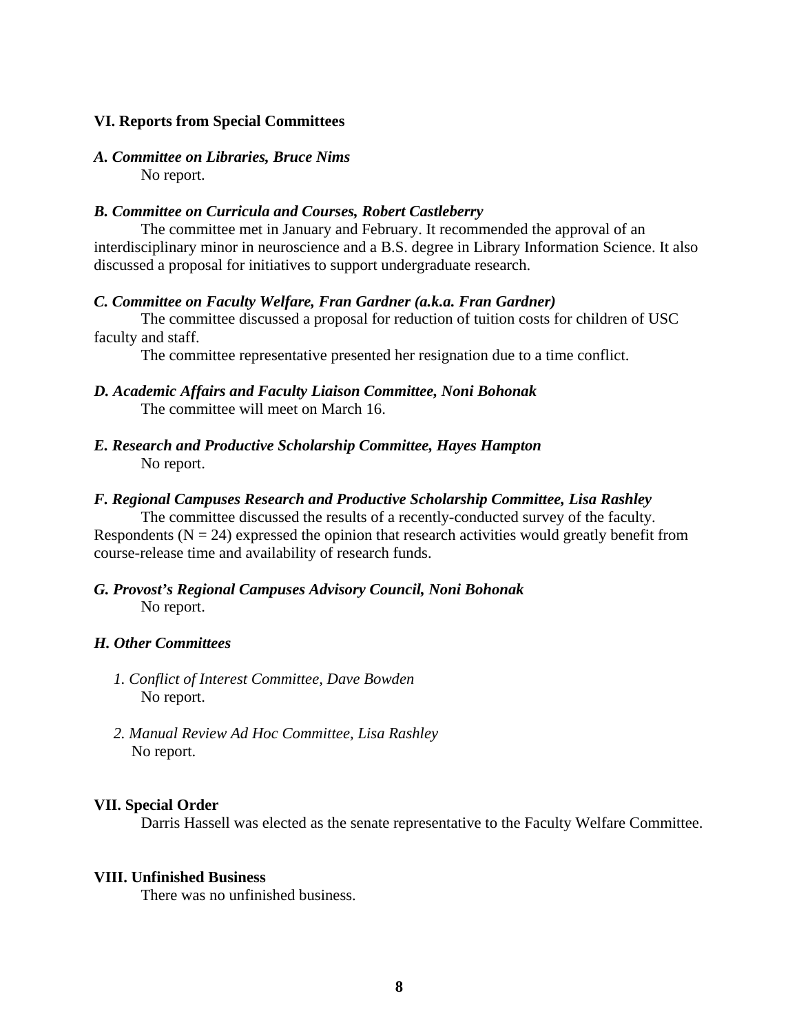## **VI. Reports from Special Committees**

### *A. Committee on Libraries, Bruce Nims*  No report.

## *B. Committee on Curricula and Courses, Robert Castleberry*

The committee met in January and February. It recommended the approval of an interdisciplinary minor in neuroscience and a B.S. degree in Library Information Science. It also discussed a proposal for initiatives to support undergraduate research.

### *C. Committee on Faculty Welfare, Fran Gardner (a.k.a. Fran Gardner)*

The committee discussed a proposal for reduction of tuition costs for children of USC faculty and staff.

The committee representative presented her resignation due to a time conflict.

- *D. Academic Affairs and Faculty Liaison Committee, Noni Bohonak*  The committee will meet on March 16.
- *E. Research and Productive Scholarship Committee, Hayes Hampton*  No report.

### *F. Regional Campuses Research and Productive Scholarship Committee, Lisa Rashley*

The committee discussed the results of a recently-conducted survey of the faculty. Respondents ( $N = 24$ ) expressed the opinion that research activities would greatly benefit from course-release time and availability of research funds.

## *G. Provost's Regional Campuses Advisory Council, Noni Bohonak*  No report.

## *H. Other Committees*

- *1. Conflict of Interest Committee, Dave Bowden*  No report.
- *2. Manual Review Ad Hoc Committee, Lisa Rashley*  No report.

## **VII. Special Order**

Darris Hassell was elected as the senate representative to the Faculty Welfare Committee.

#### **VIII. Unfinished Business**

There was no unfinished business.